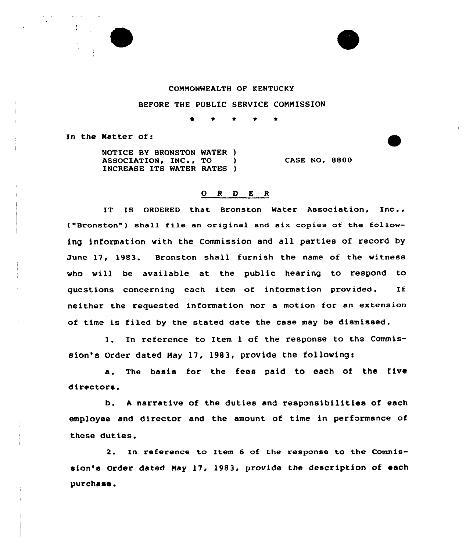

## CONNONWEALTH OF KENTUCKY

## BEFORE THE PUBLIC SERVICE COMMISSION

<sup>~</sup> 0 \*

In the Matter of:

NOTICE BY BRONSTON MATER ) ASSOCIATION, INC., TO INCREASE ITS WATER RATES ) **CASE NO. 8800** 

## 0 <sup>R</sup> 0 <sup>E</sup> <sup>R</sup>

IT IS ORDERED that Bronston Water Association, Inc., ("Bronston") shall file an original and six copies of the following information with the Commission and all parties of record by June 17, 1983. Bronston shall furnish the name of the witness who will be available at the public hearing to respond to questions concerning each item of information provided. If neither the requested information nor a motion for an extension of time is filed by the stated date the case may be dismissed.

l. In reference to Item <sup>1</sup> of the response to the Commission's Order dated Hay 17, 1983, provide the followings

a. The basis for the fees paid to each of the five directors.

b. <sup>A</sup> narrative of the duties and responsibilities of each employee and director and the amount of time in performance of these duties.

2. In reference to Item <sup>6</sup> of the response to the Commission's Order dated Nay 17, 1983, provide the description of each purchase .